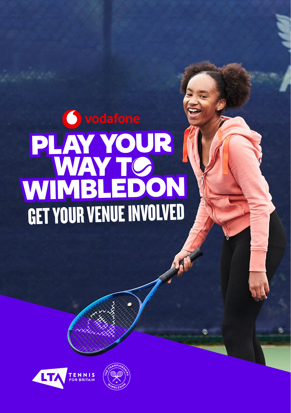# ovodafone **PLAY YOUR |<br>WAY TOON**<br>GET YOUR VENUE INVOLVED



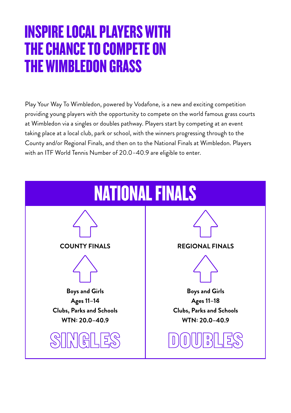### INSPIRE LOCAL PLAYERS WITH THE CHANCE TO COMPETE ON THE WIMBLEDON GRASS

Play Your Way To Wimbledon, powered by Vodafone, is a new and exciting competition providing young players with the opportunity to compete on the world famous grass courts at Wimbledon via a singles or doubles pathway. Players start by competing at an event taking place at a local club, park or school, with the winners progressing through to the County and/or Regional Finals, and then on to the National Finals at Wimbledon. Players with an ITF World Tennis Number of 20.0–40.9 are eligible to enter.

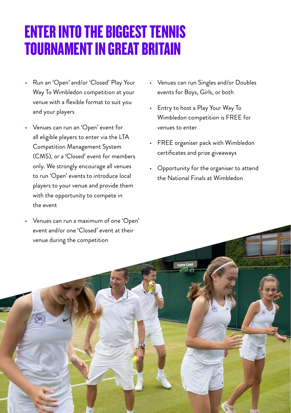## ENTER INTO THE BIGGEST TENNIS TOURNAMENT IN GREAT BRITAIN

- Run an 'Open' and/or 'Closed' Play Your Way To Wimbledon competition at your venue with a flexible format to suit you and your players
- Venues can run an 'Open' event for all eligible players to enter via the LTA Competition Management System (CMS), or a 'Closed' event for members only. We strongly encourage all venues to run 'Open' events to introduce local players to your venue and provide them with the opportunity to compete in the event
- Venues can run a maximum of one 'Open' event and/or one 'Closed' event at their venue during the competition
- Venues can run Singles and/or Doubles events for Boys, Girls, or both
- Entry to host a Play Your Way To Wimbledon competition is FREE for venues to enter
- FREE organiser pack with Wimbledon certificates and prize giveaways
- Opportunity for the organiser to attend the National Finals at Wimbledon

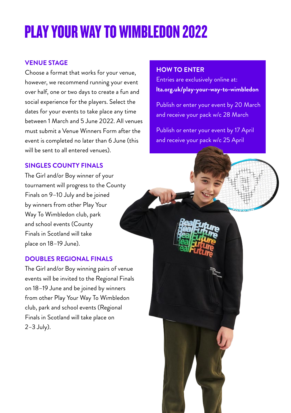# PLAY YOUR WAY TO WIMBLEDON 2022

#### **VENUE STAGE**

Choose a format that works for your venue, however, we recommend running your event over half, one or two days to create a fun and social experience for the players. Select the dates for your events to take place any time between 1 March and 5 June 2022. All venues must submit a Venue Winners Form after the event is completed no later than 6 June (this will be sent to all entered venues).

#### **SINGLES COUNTY FINALS**

The Girl and/or Boy winner of your tournament will progress to the County Finals on 9–10 July and be joined by winners from other Play Your Way To Wimbledon club, park and school events (County Finals in Scotland will take place on 18–19 June).

#### **DOUBLES REGIONAL FINALS**

The Girl and/or Boy winning pairs of venue events will be invited to the Regional Finals on 18–19 June and be joined by winners from other Play Your Way To Wimbledon club, park and school events (Regional Finals in Scotland will take place on 2–3 July).

#### **HOW TO ENTER**

Entries are exclusively online at: **lta.org.uk/play-your-way-to-wimbledon**

Publish or enter your event by 20 March and receive your pack w/c 28 March

Publish or enter your event by 17 April and receive your pack w/c 25 April